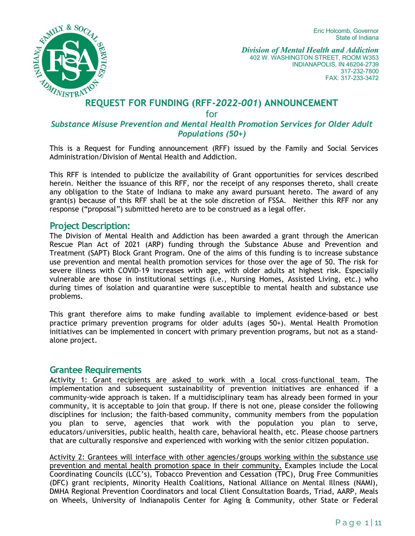Eric Holcomb, Governor State of Indiana



 402 W. WASHINGTON STREET, ROOM W353 INDIANAPOLIS, IN 46204-2739 *Division of Mental Health and Addiction*  317-232-7800 FAX: 317-233-3472

# **REQUEST FOR FUNDING (RFF-2022-001) ANNOUNCEMENT**

for

#### *Substance Misuse Prevention and Mental Health Promotion Services for Older Adult Populations (50+)*

This is a Request for Funding announcement (RFF) issued by the Family and Social Services Administration/Division of Mental Health and Addiction.

 This RFF is intended to publicize the availability of Grant opportunities for services described any obligation to the State of Indiana to make any award pursuant hereto. The award of any grant(s) because of this RFF shall be at the sole discretion of FSSA. Neither this RFF nor any herein. Neither the issuance of this RFF, nor the receipt of any responses thereto, shall create response ("proposal") submitted hereto are to be construed as a legal offer.

#### **Project Description:**

 Treatment (SAPT) Block Grant Program. One of the aims of this funding is to increase substance vulnerable are those in institutional settings (i.e., Nursing Homes, Assisted Living, etc.) who during times of isolation and quarantine were susceptible to mental health and substance use The Division of Mental Health and Addiction has been awarded a grant through the American Rescue Plan Act of 2021 (ARP) funding through the Substance Abuse and Prevention and use prevention and mental health promotion services for those over the age of 50. The risk for severe illness with COVID-19 increases with age, with older adults at highest risk. Especially problems.

This grant therefore aims to make funding available to implement evidence-based or best practice primary prevention programs for older adults (ages 50+). Mental Health Promotion initiatives can be implemented in concert with primary prevention programs, but not as a standalone project.

#### **Grantee Requirements**

 community, it is acceptable to join that group. If there is not one, please consider the following disciplines for inclusion; the faith-based community, community members from the population you plan to serve, agencies that work with the population you plan to serve, Activity 1: Grant recipients are asked to work with a local cross-functional team. The implementation and subsequent sustainability of prevention initiatives are enhanced if a community-wide approach is taken. If a multidisciplinary team has already been formed in your educators/universities, public health, health care, behavioral health, etc. Please choose partners that are culturally responsive and experienced with working with the senior citizen population.

 prevention and mental health promotion space in their community. Examples include the Local Activity 2: Grantees will interface with other agencies/groups working within the substance use Coordinating Councils (LCC's), Tobacco Prevention and Cessation (TPC), Drug Free Communities (DFC) grant recipients, Minority Health Coalitions, National Alliance on Mental Illness (NAMI), DMHA Regional Prevention Coordinators and local Client Consultation Boards, Triad, AARP, Meals on Wheels, University of Indianapolis Center for Aging & Community, other State or Federal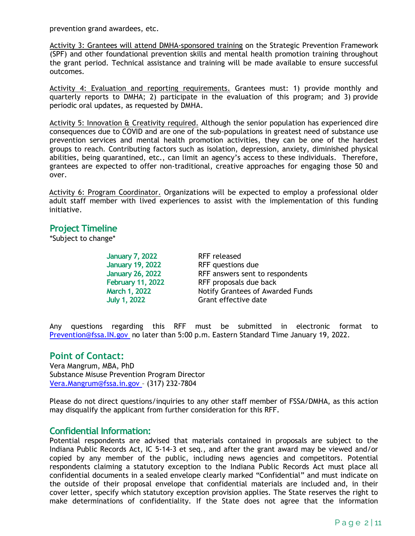prevention grand awardees, etc.

Activity 3: Grantees will attend DMHA-sponsored training on the Strategic Prevention Framework (SPF) and other foundational prevention skills and mental health promotion training throughout the grant period. Technical assistance and training will be made available to ensure successful outcomes.

Activity 4: Evaluation and reporting requirements. Grantees must: 1) provide monthly and periodic oral updates, as requested by DMHA. quarterly reports to DMHA; 2) participate in the evaluation of this program; and 3) provide

 consequences due to COVID and are one of the sub-populations in greatest need of substance use Activity 5: Innovation & Creativity required. Although the senior population has experienced dire prevention services and mental health promotion activities, they can be one of the hardest groups to reach. Contributing factors such as isolation, depression, anxiety, diminished physical abilities, being quarantined, etc., can limit an agency's access to these individuals. Therefore, grantees are expected to offer non-traditional, creative approaches for engaging those 50 and over.

Activity 6: Program Coordinator. Organizations will be expected to employ a professional older adult staff member with lived experiences to assist with the implementation of this funding initiative.

#### **Project Timeline**

\*Subject to change\*

 **January 26, 2022** RFF answers sent to respondents **January 7, 2022** RFF released **January 19, 2022** RFF questions due **February 11, 2022** RFF proposals due back **March 1, 2022 Notify Grantees of Awarded Funds**<br> **July 1, 2022 Grant effective date** Grant effective date

Any questions regarding this RFF must be submitted in electronic format to [Prevention@fssa.IN.gov](mailto:Prevention@fssa.IN.gov) no later than 5:00 p.m. Eastern Standard Time January 19, 2022.

#### **Point of Contact:**

 [Vera.Mangrum@fssa.in.gov –](mailto:Vera.Mangrum@fssa.in.gov) (317) 232-7804 Vera Mangrum, MBA, PhD Substance Misuse Prevention Program Director

 Please do not direct questions/inquiries to any other staff member of FSSA/DMHA, as this action may disqualify the applicant from further consideration for this RFF.

#### **Confidential Information:**

 Indiana Public Records Act, IC 5-14-3 et seq., and after the grant award may be viewed and/or Potential respondents are advised that materials contained in proposals are subject to the copied by any member of the public, including news agencies and competitors. Potential respondents claiming a statutory exception to the Indiana Public Records Act must place all confidential documents in a sealed envelope clearly marked "Confidential" and must indicate on the outside of their proposal envelope that confidential materials are included and, in their cover letter, specify which statutory exception provision applies. The State reserves the right to make determinations of confidentiality. If the State does not agree that the information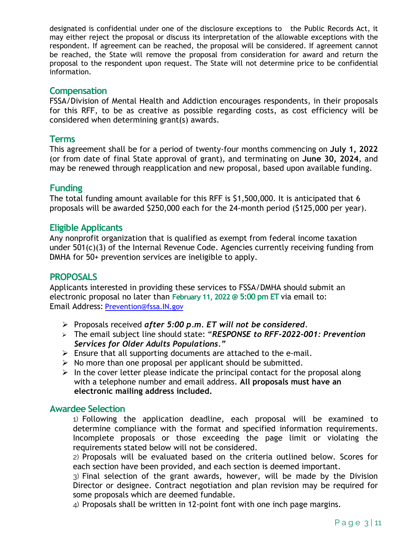designated is confidential under one of the disclosure exceptions to the Public Records Act, it may either reject the proposal or discuss its interpretation of the allowable exceptions with the respondent. If agreement can be reached, the proposal will be considered. If agreement cannot be reached, the State will remove the proposal from consideration for award and return the proposal to the respondent upon request. The State will not determine price to be confidential information.

#### **Compensation**

 for this RFF, to be as creative as possible regarding costs, as cost efficiency will be FSSA/Division of Mental Health and Addiction encourages respondents, in their proposals considered when determining grant(s) awards.

#### **Terms**

This agreement shall be for a period of twenty-four months commencing on **July 1, 2022**  (or from date of final State approval of grant), and terminating on **June 30, 2024**, and may be renewed through reapplication and new proposal, based upon available funding.

#### **Funding**

 The total funding amount available for this RFF is \$1,500,000. It is anticipated that 6 proposals will be awarded \$250,000 each for the 24-month period (\$125,000 per year).

#### **Eligible Applicants**

 DMHA for 50+ prevention services are ineligible to apply. Any nonprofit organization that is qualified as exempt from federal income taxation under 501(c)(3) of the Internal Revenue Code. Agencies currently receiving funding from

#### **PROPOSALS**

 electronic proposal no later than **February 11, 2022 @ 5:00 pm ET** via email to: Applicants interested in providing these services to FSSA/DMHA should submit an Email Address: [Prevention@fssa.IN.gov](mailto:Prevention@fssa.IN.gov) 

- Proposals received *after 5:00 p.m. ET will not be considered*.
- The email subject line should state: "*RESPONSE to RFF-2022-001: Prevention Services for Older Adults Populations."*
- $\triangleright$  Ensure that all supporting documents are attached to the e-mail.
- $\triangleright$  No more than one proposal per applicant should be submitted.
- with a telephone number and email address. **All proposals must have an**   $\triangleright$  In the cover letter please indicate the principal contact for the proposal along **electronic mailing address included.**

#### **Awardee Selection**

1) Following the application deadline, each proposal will be examined to determine compliance with the format and specified information requirements. Incomplete proposals or those exceeding the page limit or violating the requirements stated below will not be considered.

 2) Proposals will be evaluated based on the criteria outlined below. Scores for each section have been provided, and each section is deemed important.

 3) Final selection of the grant awards, however, will be made by the Division Director or designee. Contract negotiation and plan revision may be required for some proposals which are deemed fundable.

4) Proposals shall be written in 12-point font with one inch page margins.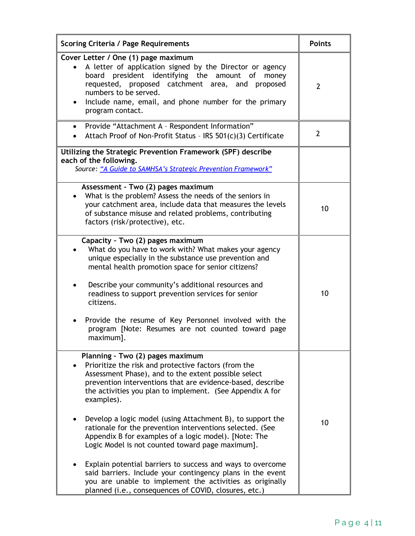| <b>Scoring Criteria / Page Requirements</b>                                                                                                                                                                                                                                                                                                                                                                          | <b>Points</b>  |
|----------------------------------------------------------------------------------------------------------------------------------------------------------------------------------------------------------------------------------------------------------------------------------------------------------------------------------------------------------------------------------------------------------------------|----------------|
| Cover Letter / One (1) page maximum<br>A letter of application signed by the Director or agency<br>board president identifying the amount of money<br>requested, proposed catchment area, and proposed<br>numbers to be served.<br>Include name, email, and phone number for the primary<br>$\bullet$<br>program contact.                                                                                            | $\overline{2}$ |
| Provide "Attachment A - Respondent Information"<br>$\bullet$<br>Attach Proof of Non-Profit Status - IRS 501(c)(3) Certificate<br>$\bullet$                                                                                                                                                                                                                                                                           | $\overline{2}$ |
| Utilizing the Strategic Prevention Framework (SPF) describe<br>each of the following.<br>Source: "A Guide to SAMHSA's Strategic Prevention Framework"                                                                                                                                                                                                                                                                |                |
| Assessment - Two (2) pages maximum<br>What is the problem? Assess the needs of the seniors in<br>your catchment area, include data that measures the levels<br>of substance misuse and related problems, contributing<br>factors (risk/protective), etc.                                                                                                                                                             | 10             |
| Capacity - Two (2) pages maximum<br>What do you have to work with? What makes your agency<br>unique especially in the substance use prevention and<br>mental health promotion space for senior citizens?<br>Describe your community's additional resources and<br>readiness to support prevention services for senior<br>citizens.<br>Provide the resume of Key Personnel involved with the                          | 10             |
| program [Note: Resumes are not counted toward page<br>maximum].                                                                                                                                                                                                                                                                                                                                                      |                |
| Planning - Two (2) pages maximum<br>Prioritize the risk and protective factors (from the<br>Assessment Phase), and to the extent possible select<br>prevention interventions that are evidence-based, describe<br>the activities you plan to implement. (See Appendix A for<br>examples).<br>Develop a logic model (using Attachment B), to support the<br>rationale for the prevention interventions selected. (See | 10             |
| Appendix B for examples of a logic model). [Note: The<br>Logic Model is not counted toward page maximum].<br>Explain potential barriers to success and ways to overcome<br>said barriers. Include your contingency plans in the event<br>you are unable to implement the activities as originally<br>planned (i.e., consequences of COVID, closures, etc.)                                                           |                |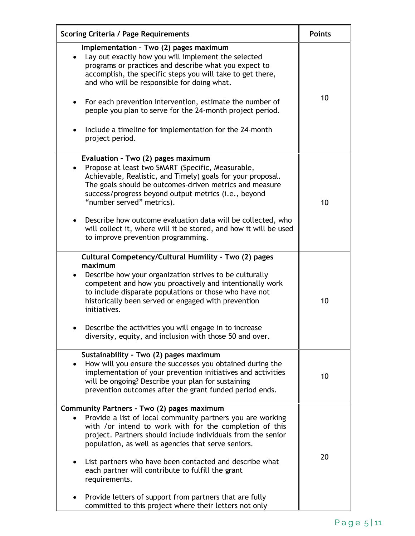| <b>Scoring Criteria / Page Requirements</b>                                                                                                                                                                                                                                                                                                                                                                                                              | <b>Points</b> |
|----------------------------------------------------------------------------------------------------------------------------------------------------------------------------------------------------------------------------------------------------------------------------------------------------------------------------------------------------------------------------------------------------------------------------------------------------------|---------------|
| Implementation - Two (2) pages maximum<br>• Lay out exactly how you will implement the selected<br>programs or practices and describe what you expect to<br>accomplish, the specific steps you will take to get there,<br>and who will be responsible for doing what.<br>For each prevention intervention, estimate the number of<br>people you plan to serve for the 24-month project period.<br>Include a timeline for implementation for the 24-month | 10            |
| project period.                                                                                                                                                                                                                                                                                                                                                                                                                                          |               |
| Evaluation - Two (2) pages maximum<br>Propose at least two SMART (Specific, Measurable,<br>Achievable, Realistic, and Timely) goals for your proposal.<br>The goals should be outcomes-driven metrics and measure<br>success/progress beyond output metrics (i.e., beyond<br>"number served" metrics).<br>Describe how outcome evaluation data will be collected, who                                                                                    | 10            |
| will collect it, where will it be stored, and how it will be used<br>to improve prevention programming.                                                                                                                                                                                                                                                                                                                                                  |               |
| Cultural Competency/Cultural Humility - Two (2) pages<br>maximum<br>Describe how your organization strives to be culturally<br>competent and how you proactively and intentionally work<br>to include disparate populations or those who have not<br>historically been served or engaged with prevention<br>initiatives.<br>Describe the activities you will engage in to increase<br>diversity, equity, and inclusion with those 50 and over.           | 10            |
| Sustainability - Two (2) pages maximum<br>How will you ensure the successes you obtained during the<br>implementation of your prevention initiatives and activities<br>will be ongoing? Describe your plan for sustaining<br>prevention outcomes after the grant funded period ends.                                                                                                                                                                     | 10            |
| Community Partners - Two (2) pages maximum                                                                                                                                                                                                                                                                                                                                                                                                               |               |
| Provide a list of local community partners you are working<br>with /or intend to work with for the completion of this<br>project. Partners should include individuals from the senior<br>population, as well as agencies that serve seniors.<br>List partners who have been contacted and describe what<br>each partner will contribute to fulfill the grant<br>requirements.                                                                            | 20            |
| Provide letters of support from partners that are fully<br>committed to this project where their letters not only                                                                                                                                                                                                                                                                                                                                        |               |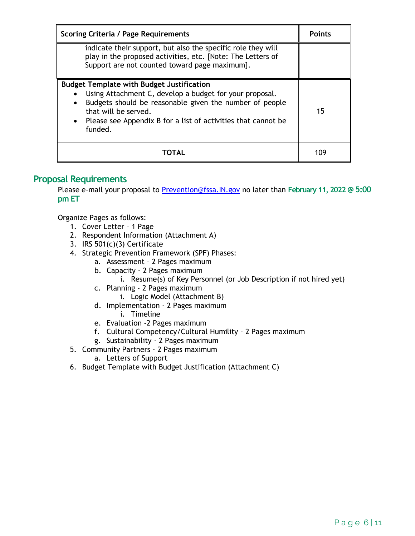| <b>Scoring Criteria / Page Requirements</b>                                                                                                                                                                                                                                               | <b>Points</b> |
|-------------------------------------------------------------------------------------------------------------------------------------------------------------------------------------------------------------------------------------------------------------------------------------------|---------------|
| indicate their support, but also the specific role they will<br>play in the proposed activities, etc. [Note: The Letters of<br>Support are not counted toward page maximum].                                                                                                              |               |
| <b>Budget Template with Budget Justification</b><br>Using Attachment C, develop a budget for your proposal.<br>Budgets should be reasonable given the number of people<br>$\bullet$<br>that will be served.<br>• Please see Appendix B for a list of activities that cannot be<br>funded. | 15            |
|                                                                                                                                                                                                                                                                                           | 109           |

#### **Proposal Requirements**

 Please e-mail your proposal to [Prevention@fssa.IN.gov](mailto:Prevention@fssa.IN.gov) no later than **February 11, 2022 @ 5:00 pm ET** 

Organize Pages as follows:

- 1. Cover Letter 1 Page
- 2. Respondent Information (Attachment A)
- 3. IRS 501(c)(3) Certificate
- 4. Strategic Prevention Framework (SPF) Phases:
	- a. Assessment 2 Pages maximum
	- b. Capacity 2 Pages maximum
		- i. Resume(s) of Key Personnel (or Job Description if not hired yet)
	- c. Planning 2 Pages maximum
		- i. Logic Model (Attachment B)
	- d. Implementation 2 Pages maximum
		- i. Timeline
	- e. Evaluation -2 Pages maximum
	- f. Cultural Competency/Cultural Humility 2 Pages maximum
	- g. Sustainability 2 Pages maximum
- 5. Community Partners 2 Pages maximum
	- a. Letters of Support
- 6. Budget Template with Budget Justification (Attachment C)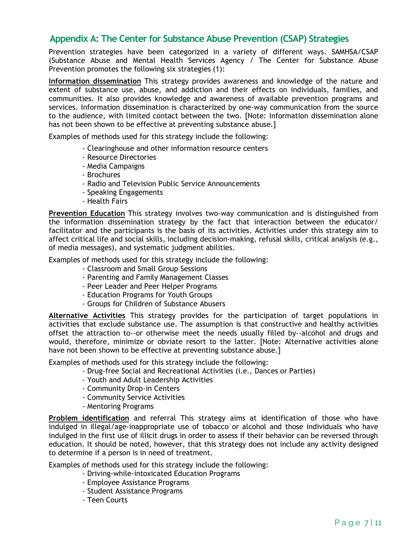#### **Appendix A: The Center for Substance Abuse Prevention (CSAP) Strategies**

 Prevention promotes the following six strategies (1): Prevention strategies have been categorized in a variety of different ways. SAMHSA/CSAP (Substance Abuse and Mental Health Services Agency / The Center for Substance Abuse

 **Information dissemination** This strategy provides awareness and knowledge of the nature and extent of substance use, abuse, and addiction and their effects on individuals, families, and communities. It also provides knowledge and awareness of available prevention programs and services. Information dissemination is characterized by one-way communication from the source to the audience, with limited contact between the two. [Note: Information dissemination alone has not been shown to be effective at preventing substance abuse.]

Examples of methods used for this strategy include the following:

- Clearinghouse and other information resource centers
- Resource Directories
- Media Campaigns
- Brochures
- Radio and Television Public Service Announcements
- Speaking Engagements
- Health Fairs

 the information dissemination strategy by the fact that interaction between the educator/ affect critical life and social skills, including decision-making, refusal skills, critical analysis (e.g., **Prevention Education** This strategy involves two-way communication and is distinguished from facilitator and the participants is the basis of its activities. Activities under this strategy aim to of media messages), and systematic judgment abilities.

Examples of methods used for this strategy include the following:

- Classroom and Small Group Sessions
- Parenting and Family Management Classes
- Peer Leader and Peer Helper Programs
- Education Programs for Youth Groups
- Groups for Children of Substance Abusers

 **Alternative Activities** This strategy provides for the participation of target populations in activities that exclude substance use. The assumption is that constructive and healthy activities offset the attraction to--or otherwise meet the needs usually filled by--alcohol and drugs and would, therefore, minimize or obviate resort to the latter. [Note: Alternative activities alone have not been shown to be effective at preventing substance abuse.]

Examples of methods used for this strategy include the following:

- Drug-free Social and Recreational Activities (i.e., Dances or Parties)
- Youth and Adult Leadership Activities
- Community Drop-in Centers
- Community Service Activities
- Mentoring Programs

 **Problem identification** and referral This strategy aims at identification of those who have indulged in illegal/age-inappropriate use of tobacco or alcohol and those individuals who have education. It should be noted, however, that this strategy does not include any activity designed indulged in the first use of illicit drugs in order to assess if their behavior can be reversed through to determine if a person is in need of treatment.

Examples of methods used for this strategy include the following:

- Driving-while-intoxicated Education Programs
- Employee Assistance Programs
- Student Assistance Programs
- Teen Courts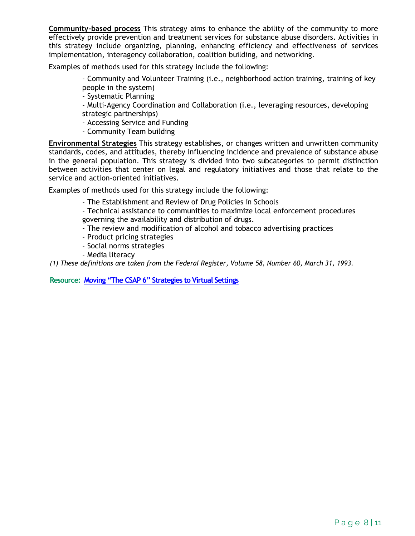**Community-based process** This strategy aims to enhance the ability of the community to more effectively provide prevention and treatment services for substance abuse disorders. Activities in this strategy include organizing, planning, enhancing efficiency and effectiveness of services implementation, interagency collaboration, coalition building, and networking.

Examples of methods used for this strategy include the following:

- Community and Volunteer Training (i.e., neighborhood action training, training of key people in the system)

- Systematic Planning

 - Multi-Agency Coordination and Collaboration (i.e., leveraging resources, developing strategic partnerships)

- Accessing Service and Funding
- Community Team building

 standards, codes, and attitudes, thereby influencing incidence and prevalence of substance abuse **Environmental Strategies** This strategy establishes, or changes written and unwritten community in the general population. This strategy is divided into two subcategories to permit distinction between activities that center on legal and regulatory initiatives and those that relate to the service and action-oriented initiatives.

Examples of methods used for this strategy include the following:

- The Establishment and Review of Drug Policies in Schools
- Technical assistance to communities to maximize local enforcement procedures governing the availability and distribution of drugs.
- The review and modification of alcohol and tobacco advertising practices
- Product pricing strategies
- Social norms strategies
- Media literacy

 *(1) These definitions are taken from the Federal Register, Volume 58, Number 60, March 31, 1993.* 

 **Resource: [Moving "The CSAP 6" Strategies to Virtual Settings](https://pttcnetwork.org/media/2290)**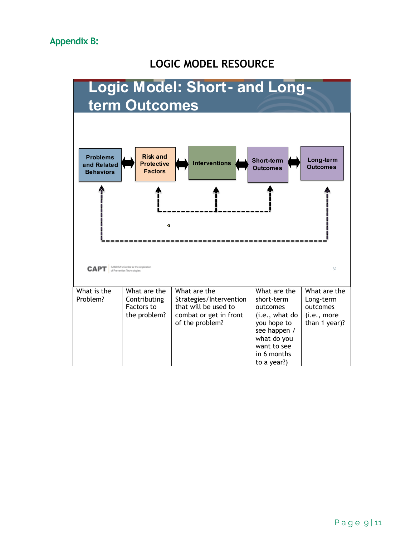# **LOGIC MODEL RESOURCE**

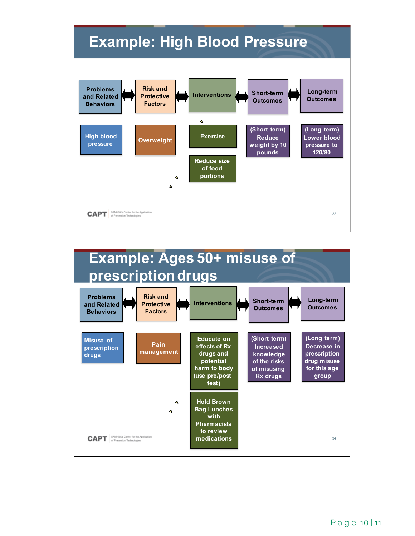